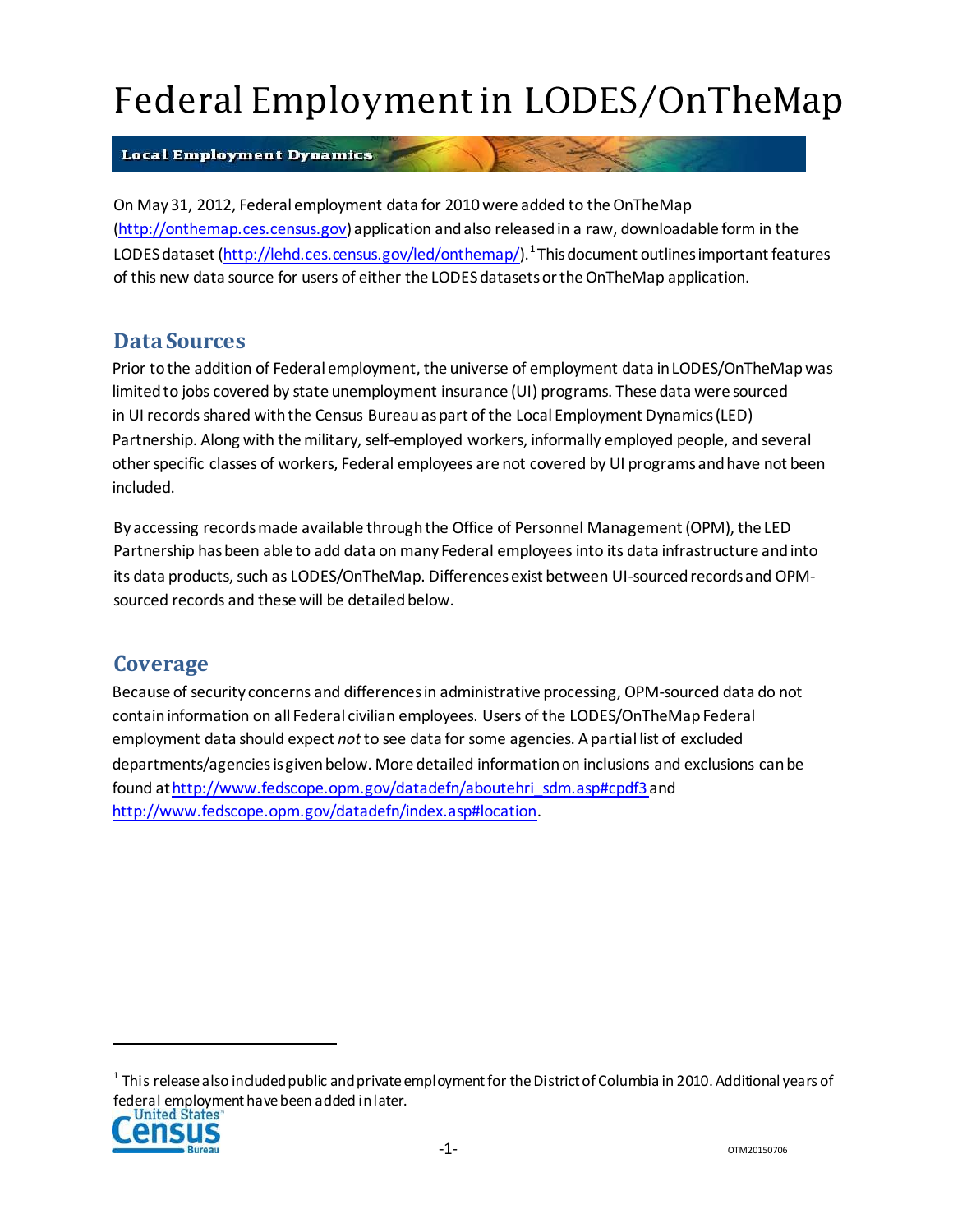# Federal Employment in LODES/OnTheMap

#### **Local Employment Dynamics**

On May 31, 2012, Federal employment data for 2010 were added to the OnTheMap (http://onthemap.ces.census.gov) application andalso releasedin a raw, downloadable form in the LODES dataset [\(http://lehd.ces.census.gov/led/onthemap/\).](http://lehd.ces.census.gov/led/onthemap/).1)<sup>1</sup> This document outlines important features of this new data source for users of either the LODES datasets or the OnTheMap application.

### **Data Sources**

Prior tothe addition of Federal employment, the universe of employment data inLODES/OnTheMapwas limited to jobs covered by state unemployment insurance (UI) programs. These data were sourced in UI records shared with the Census Bureau as part of the Local Employment Dynamics (LED) Partnership. Along with the military, self-employed workers, informally employed people, and several otherspecific classes of workers, Federal employees are not covered by UI programsandhave not been included.

Byaccessing recordsmade available throughthe Office of Personnel Management (OPM), the LED Partnership hasbeen able to add data on many Federal employeesinto its data infrastructure andinto its data products, such as LODES/OnTheMap. Differences exist between UI-sourced records and OPMsourced records and these will be detailed below.

## **Coverage**

Because of security concerns and differences in administrative processing, OPM-sourced data do not contain information on all Federal civilian employees. Users of the LODES/OnTheMap Federal employment data should expect *not*to see data for some agencies. Apartial list of excluded departments/agenciesisgivenbelow. More detailed informationon inclusions and exclusions canbe found a[thttp://www.fedscope.opm.gov/datadefn/aboutehri\\_sdm.asp#cpdf3a](http://www.fedscope.opm.gov/datadefn/aboutehri_sdm.asp#cpdf3)n[d](http://www.fedscope.opm.gov/datadefn/index.asp#location) [http://www.fedscope.opm.gov/datadefn/index.asp#location.](http://www.fedscope.opm.gov/datadefn/index.asp#location)

 $^{\rm 1}$  This release also included public and private employment for the District of Columbia in 2010. Additional years of federal employment have been added in later.